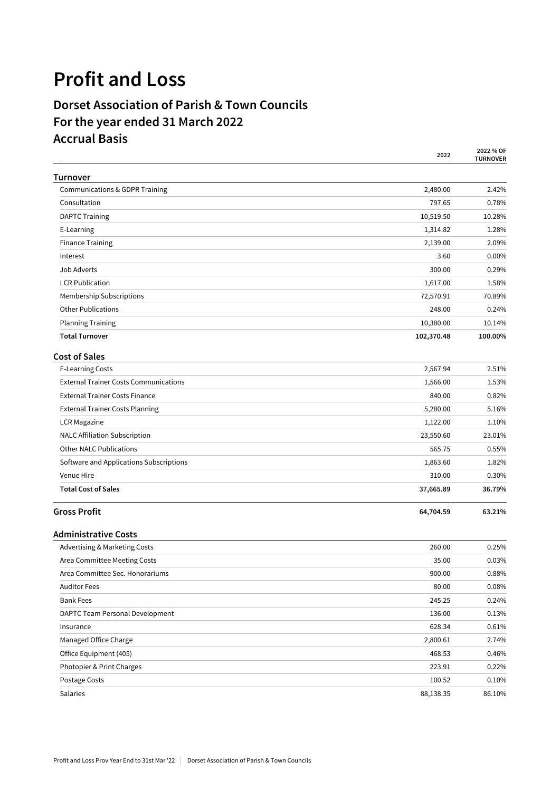## **Profit and Loss**

## **Dorset Association of Parish & Town Councils For the year ended 31 March 2022 Accrual Basis**

|                                              | 2022       | 2022 % OF<br><b>TURNOVER</b> |
|----------------------------------------------|------------|------------------------------|
| <b>Turnover</b>                              |            |                              |
| Communications & GDPR Training               | 2,480.00   | 2.42%                        |
| Consultation                                 | 797.65     | 0.78%                        |
| <b>DAPTC Training</b>                        | 10,519.50  | 10.28%                       |
| E-Learning                                   | 1,314.82   | 1.28%                        |
| <b>Finance Training</b>                      | 2,139.00   | 2.09%                        |
| Interest                                     | 3.60       | 0.00%                        |
| Job Adverts                                  | 300.00     | 0.29%                        |
| <b>LCR Publication</b>                       | 1,617.00   | 1.58%                        |
| Membership Subscriptions                     | 72,570.91  | 70.89%                       |
| <b>Other Publications</b>                    | 248.00     | 0.24%                        |
| <b>Planning Training</b>                     | 10,380.00  | 10.14%                       |
| <b>Total Turnover</b>                        | 102,370.48 | 100.00%                      |
| <b>Cost of Sales</b>                         |            |                              |
| <b>E-Learning Costs</b>                      | 2,567.94   | 2.51%                        |
| <b>External Trainer Costs Communications</b> | 1,566.00   | 1.53%                        |
| <b>External Trainer Costs Finance</b>        | 840.00     | 0.82%                        |
| <b>External Trainer Costs Planning</b>       | 5,280.00   | 5.16%                        |
| <b>LCR Magazine</b>                          | 1,122.00   | 1.10%                        |
| <b>NALC Affiliation Subscription</b>         | 23,550.60  | 23.01%                       |
| <b>Other NALC Publications</b>               | 565.75     | 0.55%                        |
| Software and Applications Subscriptions      | 1,863.60   | 1.82%                        |
| <b>Venue Hire</b>                            | 310.00     | 0.30%                        |
| <b>Total Cost of Sales</b>                   | 37,665.89  | 36.79%                       |
| <b>Gross Profit</b>                          | 64,704.59  | 63.21%                       |
| <b>Administrative Costs</b>                  |            |                              |
| Advertising & Marketing Costs                | 260.00     | 0.25%                        |
| Area Committee Meeting Costs                 | 35.00      | 0.03%                        |
| Area Committee Sec. Honorariums              | 900.00     | 0.88%                        |
| <b>Auditor Fees</b>                          | 80.00      | 0.08%                        |
| <b>Bank Fees</b>                             | 245.25     | 0.24%                        |
| DAPTC Team Personal Development              | 136.00     | 0.13%                        |
| Insurance                                    | 628.34     | 0.61%                        |
| Managed Office Charge                        | 2,800.61   | 2.74%                        |
| Office Equipment (405)                       | 468.53     | 0.46%                        |
| Photopier & Print Charges                    | 223.91     | 0.22%                        |
| Postage Costs                                | 100.52     | 0.10%                        |
| Salaries                                     | 88,138.35  | 86.10%                       |